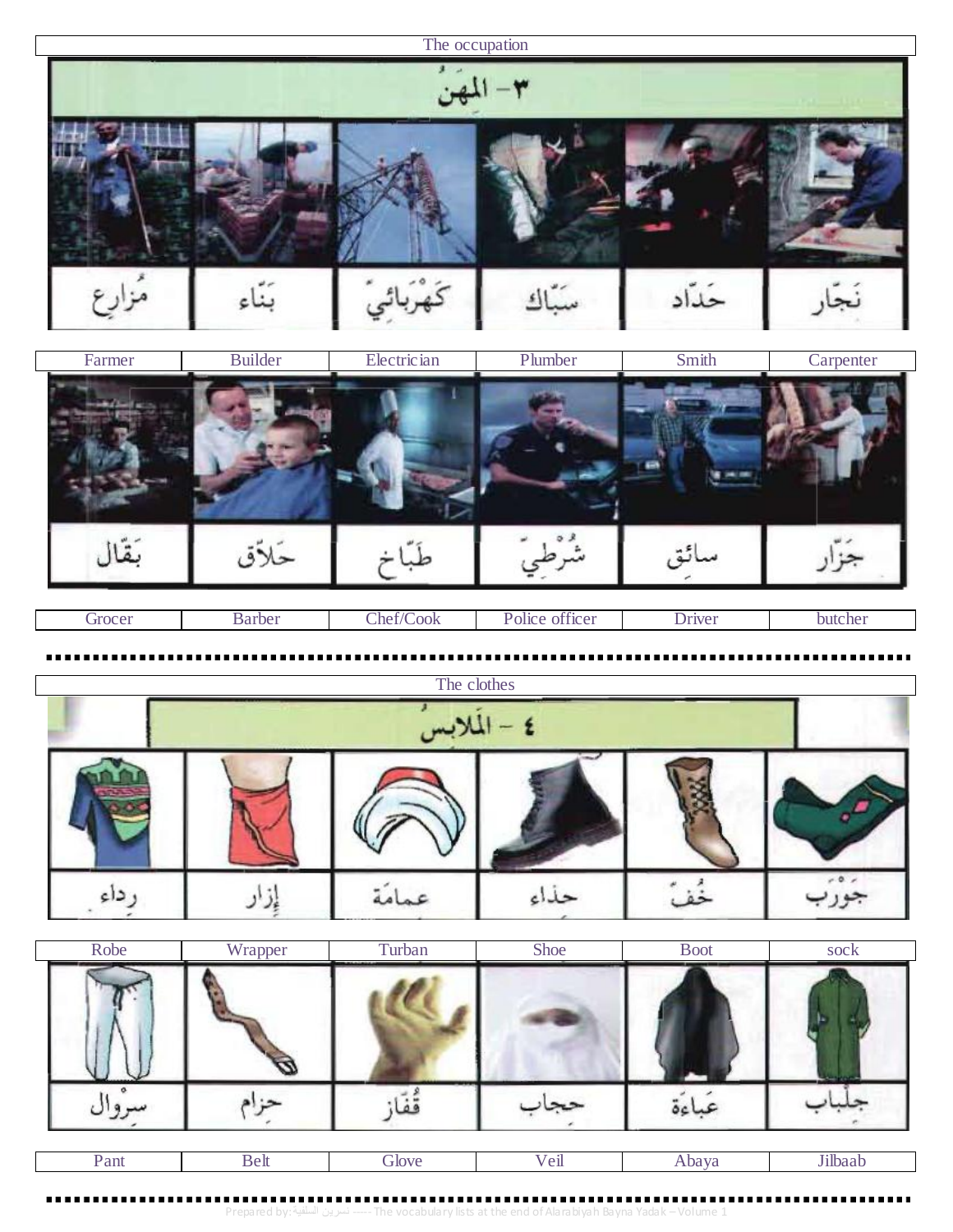The occupation  $i=11$ لمهن مُزارِع  $\tilde{\zeta}$ حَدَّاد ېناء か  $\mathbf{A}$ 

| Farmer | Builder | Electrician | Plumber | Smith | Carpenter |
|--------|---------|-------------|---------|-------|-----------|
|        |         |             |         |       |           |
|        | حار     |             |         |       |           |

| focer | Barber | $\sim$<br>$\sim$<br>/Cook<br>'hat/<br>/2011 | $\alpha$<br>officer<br>Police | Driver | butcher |
|-------|--------|---------------------------------------------|-------------------------------|--------|---------|
|       |        |                                             |                               |        |         |

|          |  | The clothes |  |  |  |  |  |  |
|----------|--|-------------|--|--|--|--|--|--|
| $t - 11$ |  |             |  |  |  |  |  |  |
|          |  |             |  |  |  |  |  |  |
|          |  |             |  |  |  |  |  |  |

| Robe | Wrapper | Turban | Shoe | <b>Boot</b> | sock |
|------|---------|--------|------|-------------|------|
|      |         |        |      |             |      |
|      |         |        |      |             |      |

| $\mathsf{v}_{\text{am}}$ | love:<br>70 Z | $^{\prime}$ eu | nava | naz |
|--------------------------|---------------|----------------|------|-----|
|                          |               |                |      |     |

Prepared by: السلفية نسرين ----- The vocabulary lists at the end of Alarabiyah Bayna Yadak –Volume 1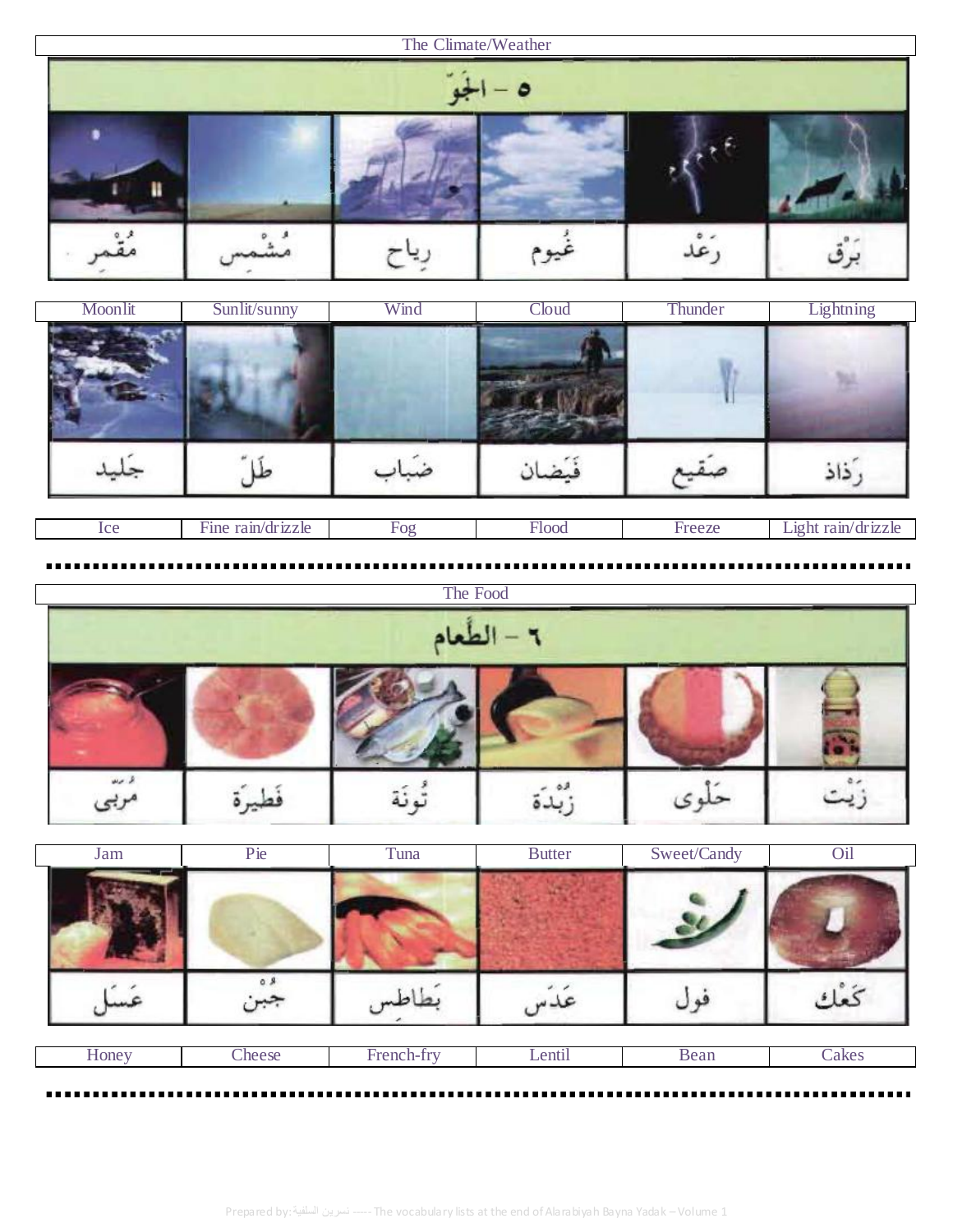| The Climate/Weather |  |  |      |  |  |  |  |  |  |
|---------------------|--|--|------|--|--|--|--|--|--|
|                     |  |  |      |  |  |  |  |  |  |
|                     |  |  | ىيوم |  |  |  |  |  |  |

| Moonlit | Sunlit/sunny      | Wind | Cloud | Thunder | Lightning          |
|---------|-------------------|------|-------|---------|--------------------|
|         |                   |      |       |         |                    |
|         |                   |      |       |         |                    |
| Ice     | Fine rain/drizzle | Fog  | Flood | Freeze  | Light rain/drizzle |

|      |  | The Food   |  |
|------|--|------------|--|
|      |  | ٦ - الطعام |  |
|      |  |            |  |
| $-2$ |  |            |  |

| Jam   | Pie    | Tuna       | <b>Butter</b> | Sweet/Candy | Oil   |
|-------|--------|------------|---------------|-------------|-------|
|       |        |            |               |             |       |
|       | n.,    |            |               |             |       |
| Honey | Cheese | French-fry | Lentil        | Bean        | Cakes |

. . . . .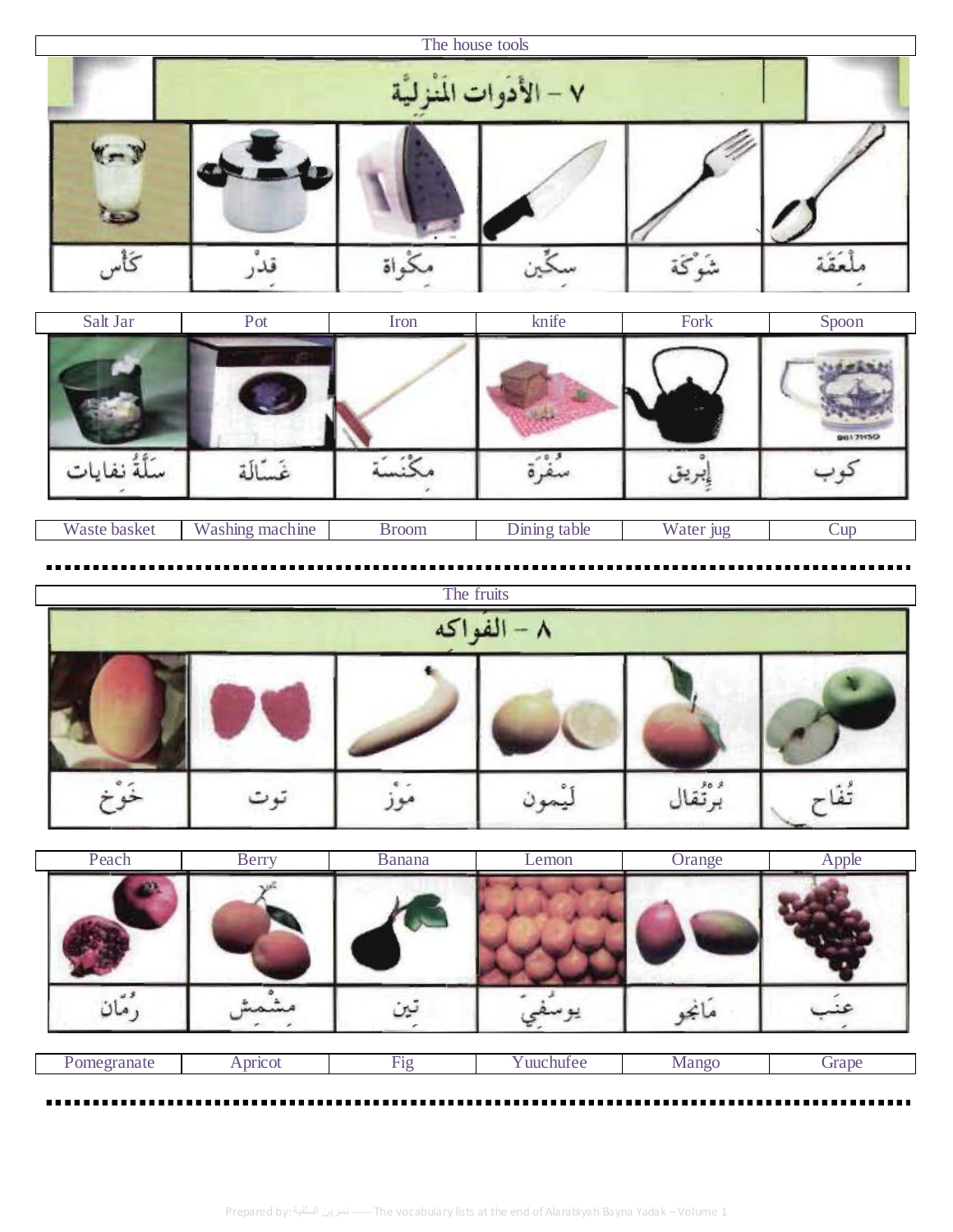|                           |                 | The house tools |              |                |                 |  |  |  |
|---------------------------|-----------------|-----------------|--------------|----------------|-----------------|--|--|--|
| ٧ – الأدوات المَنْزِليَّة |                 |                 |              |                |                 |  |  |  |
|                           |                 |                 |              |                |                 |  |  |  |
| كأس<br>Salt Jar           | Pot             | ڭواة<br>Iron    | knife        | شَوْڭة<br>Fork | لمُقَة<br>Spoon |  |  |  |
|                           |                 |                 |              |                | 86171150        |  |  |  |
| سَلَّةُ نفايات            | غَسَّالَة       | مكنسة           |              | بريق           |                 |  |  |  |
| Waste basket              | Washing machine | <b>Broom</b>    | Dining table | Water jug      | Cup             |  |  |  |

## The fruits<br> $\overline{A}$  – الفُواكِه خَوْخ تُفَاح برْتْقال مَوْزُ ليُمون توت

| Peach       | <b>Berry</b> | <b>Banana</b> | Lemon     | Orange | Apple |
|-------------|--------------|---------------|-----------|--------|-------|
|             |              |               |           |        |       |
|             |              |               |           |        |       |
| Pomegranate | Apricot      | Fig           | Yuuchufee | Mango  | Grape |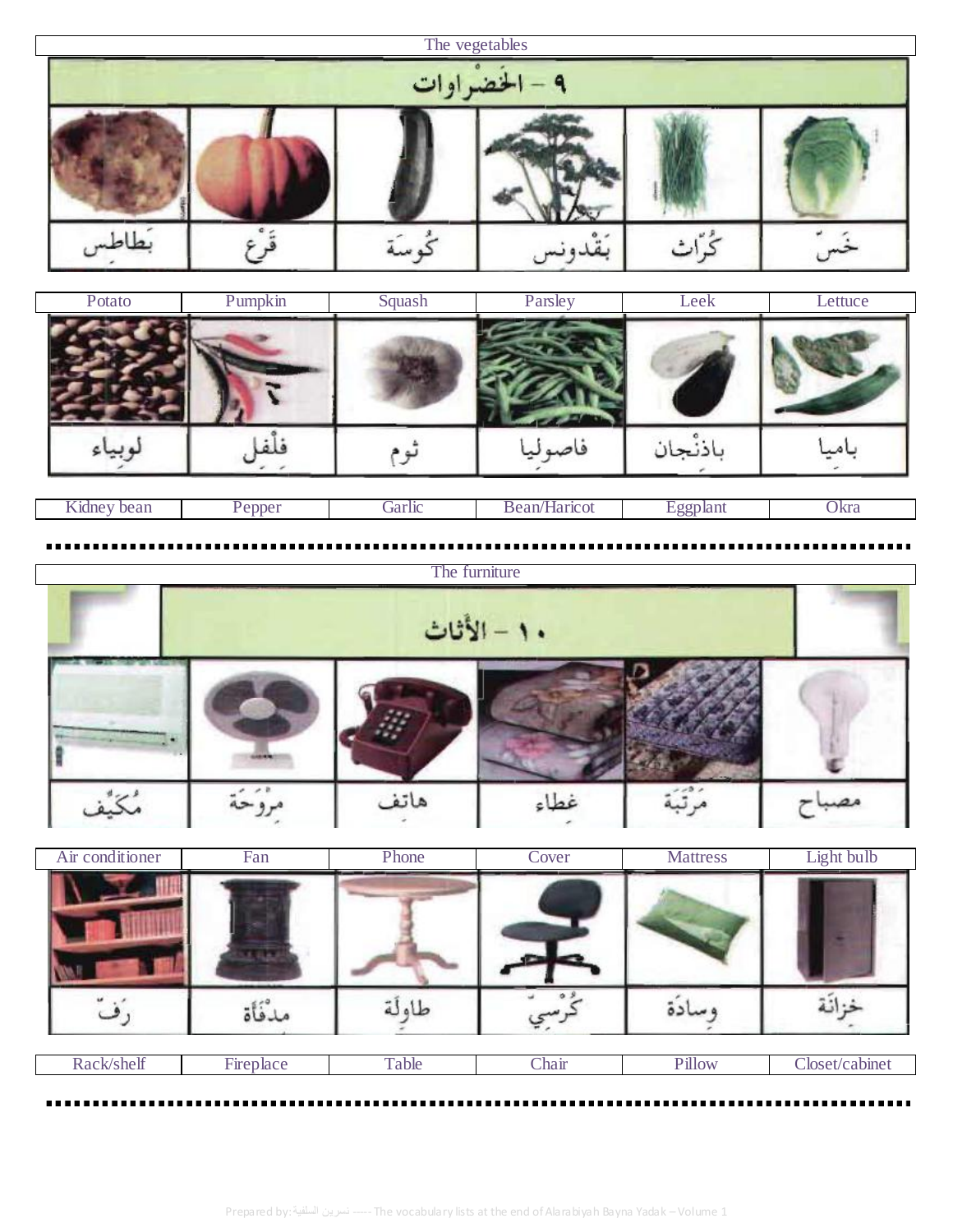|  | The vegetables<br>٩ - الخضراوات |  |
|--|---------------------------------|--|
|  |                                 |  |
|  |                                 |  |

| Potato | Pumpkin | Squash | Parsley    | Leek  | Lettuce |
|--------|---------|--------|------------|-------|---------|
|        |         |        |            |       |         |
|        |         |        | فاصه<br>ىي | دنجان |         |

| ---<br>wa.<br>. | ν | $\sim$ - $\sim$ 1.4<br>. 1 . 1 . 1 . 1 | $\sim$<br>-11.<br>- V JI | . | 12r<br>$^{\prime}$ NI $\alpha$<br>____ |
|-----------------|---|----------------------------------------|--------------------------|---|----------------------------------------|
|                 |   |                                        |                          |   |                                        |

|             |  |      | The furniture |  |  |  |  |
|-------------|--|------|---------------|--|--|--|--|
| ١٠ - الأثاث |  |      |               |  |  |  |  |
|             |  |      |               |  |  |  |  |
|             |  | هاتف | غطاء          |  |  |  |  |

| Air conditioner | Fan       | Phone | Cover | <b>Mattress</b> | Light bulb     |
|-----------------|-----------|-------|-------|-----------------|----------------|
|                 |           |       |       |                 |                |
|                 | مدفأة     | طاولة |       |                 |                |
| Rack/shelf      | Fireplace | Table | Chair | Pillow          | Closet/cabinet |

---------

----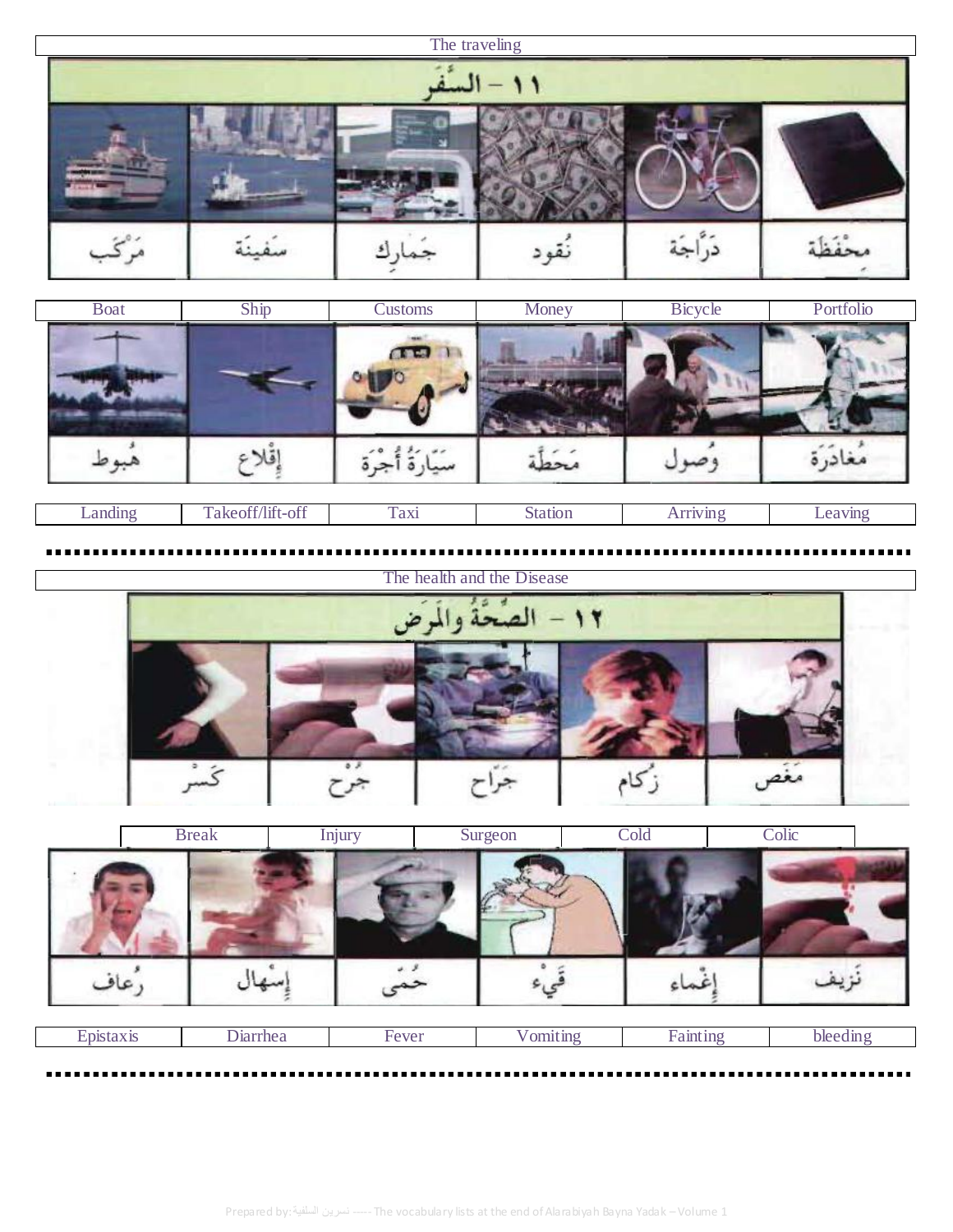## The traveling ۱۱ – ال دَرَّاجَة مُرْكَب محْفَظَة نُقود سَفينَة ارك

| <b>Boat</b> | Ship             | Customs      | Money          | Bicycle         | Portfolio |
|-------------|------------------|--------------|----------------|-----------------|-----------|
|             |                  | <b>COLLE</b> |                |                 |           |
|             |                  |              |                | $-$             | مغادر     |
| Landing     | Takeoff/lift-off | Taxi         | <b>Station</b> | <b>Arriving</b> | Leaving   |



| <b>Break</b> | Injury | Surgeon | Cold    | Colic |  |
|--------------|--------|---------|---------|-------|--|
|              |        |         |         |       |  |
| عاد          |        |         | $c - c$ |       |  |

| ,,,, | $\cdots$<br>$\sim$ |  |  |
|------|--------------------|--|--|
|      |                    |  |  |